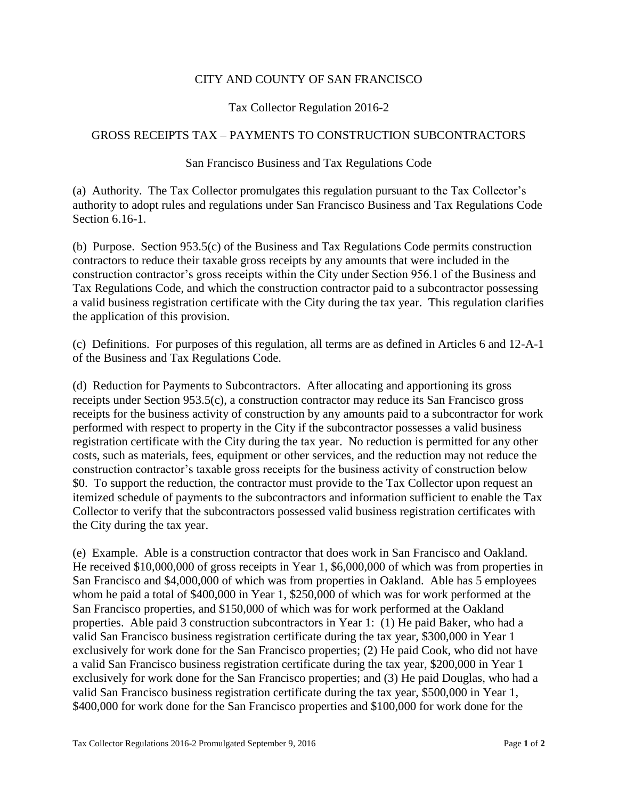## CITY AND COUNTY OF SAN FRANCISCO

## Tax Collector Regulation 2016-2

## GROSS RECEIPTS TAX – PAYMENTS TO CONSTRUCTION SUBCONTRACTORS

## San Francisco Business and Tax Regulations Code

(a) Authority. The Tax Collector promulgates this regulation pursuant to the Tax Collector's authority to adopt rules and regulations under San Francisco Business and Tax Regulations Code Section 6.16-1.

(b) Purpose. Section 953.5(c) of the Business and Tax Regulations Code permits construction contractors to reduce their taxable gross receipts by any amounts that were included in the construction contractor's gross receipts within the City under Section 956.1 of the Business and Tax Regulations Code, and which the construction contractor paid to a subcontractor possessing a valid business registration certificate with the City during the tax year. This regulation clarifies the application of this provision.

(c) Definitions. For purposes of this regulation, all terms are as defined in Articles 6 and 12-A-1 of the Business and Tax Regulations Code.

(d) Reduction for Payments to Subcontractors. After allocating and apportioning its gross receipts under Section 953.5(c), a construction contractor may reduce its San Francisco gross receipts for the business activity of construction by any amounts paid to a subcontractor for work performed with respect to property in the City if the subcontractor possesses a valid business registration certificate with the City during the tax year. No reduction is permitted for any other costs, such as materials, fees, equipment or other services, and the reduction may not reduce the construction contractor's taxable gross receipts for the business activity of construction below \$0. To support the reduction, the contractor must provide to the Tax Collector upon request an itemized schedule of payments to the subcontractors and information sufficient to enable the Tax Collector to verify that the subcontractors possessed valid business registration certificates with the City during the tax year.

(e) Example. Able is a construction contractor that does work in San Francisco and Oakland. He received \$10,000,000 of gross receipts in Year 1, \$6,000,000 of which was from properties in San Francisco and \$4,000,000 of which was from properties in Oakland. Able has 5 employees whom he paid a total of \$400,000 in Year 1, \$250,000 of which was for work performed at the San Francisco properties, and \$150,000 of which was for work performed at the Oakland properties. Able paid 3 construction subcontractors in Year 1: (1) He paid Baker, who had a valid San Francisco business registration certificate during the tax year, \$300,000 in Year 1 exclusively for work done for the San Francisco properties; (2) He paid Cook, who did not have a valid San Francisco business registration certificate during the tax year, \$200,000 in Year 1 exclusively for work done for the San Francisco properties; and (3) He paid Douglas, who had a valid San Francisco business registration certificate during the tax year, \$500,000 in Year 1, \$400,000 for work done for the San Francisco properties and \$100,000 for work done for the